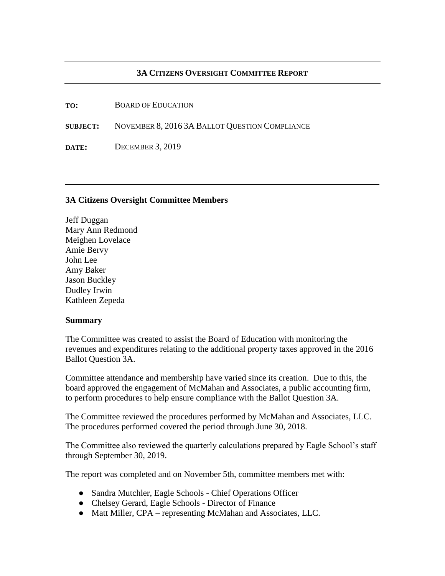## **3A CITIZENS OVERSIGHT COMMITTEE REPORT**

**TO:** BOARD OF EDUCATION

**SUBJECT:** NOVEMBER 8, 2016 3A BALLOT QUESTION COMPLIANCE

**DATE:** DECEMBER 3, 2019

## **3A Citizens Oversight Committee Members**

Jeff Duggan Mary Ann Redmond Meighen Lovelace Amie Bervy John Lee Amy Baker Jason Buckley Dudley Irwin Kathleen Zepeda

## **Summary**

The Committee was created to assist the Board of Education with monitoring the revenues and expenditures relating to the additional property taxes approved in the 2016 Ballot Question 3A.

Committee attendance and membership have varied since its creation. Due to this, the board approved the engagement of McMahan and Associates, a public accounting firm, to perform procedures to help ensure compliance with the Ballot Question 3A.

The Committee reviewed the procedures performed by McMahan and Associates, LLC. The procedures performed covered the period through June 30, 2018.

The Committee also reviewed the quarterly calculations prepared by Eagle School's staff through September 30, 2019.

The report was completed and on November 5th, committee members met with:

- Sandra Mutchler, Eagle Schools Chief Operations Officer
- Chelsey Gerard, Eagle Schools Director of Finance
- Matt Miller, CPA representing McMahan and Associates, LLC.